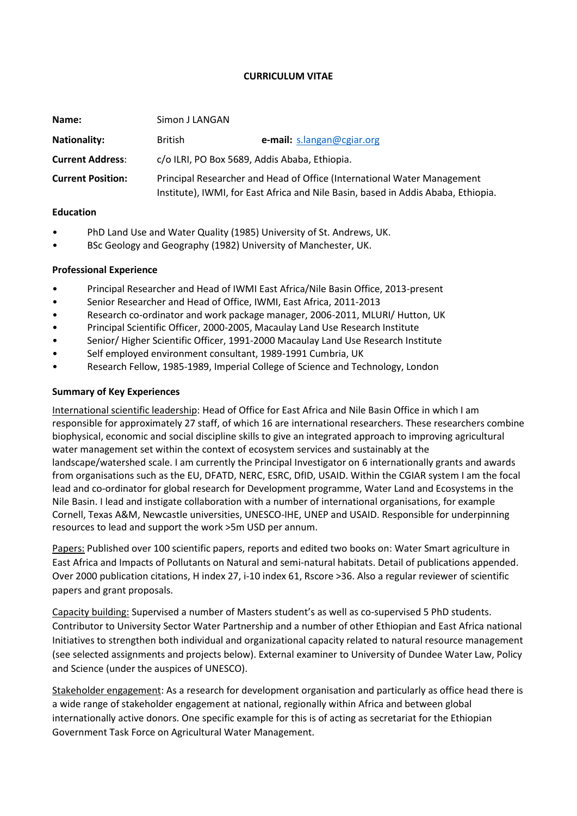### **CURRICULUM VITAE**

| Name:                    | Simon J LANGAN                                                                                                                                               |                            |
|--------------------------|--------------------------------------------------------------------------------------------------------------------------------------------------------------|----------------------------|
| <b>Nationality:</b>      | <b>British</b>                                                                                                                                               | e-mail: s.langan@cgiar.org |
| <b>Current Address:</b>  | c/o ILRI, PO Box 5689, Addis Ababa, Ethiopia.                                                                                                                |                            |
| <b>Current Position:</b> | Principal Researcher and Head of Office (International Water Management<br>Institute), IWMI, for East Africa and Nile Basin, based in Addis Ababa, Ethiopia. |                            |

#### **Education**

- PhD Land Use and Water Quality (1985) University of St. Andrews, UK.
- BSc Geology and Geography (1982) University of Manchester, UK.

### **Professional Experience**

- Principal Researcher and Head of IWMI East Africa/Nile Basin Office, 2013-present
- Senior Researcher and Head of Office, IWMI, East Africa, 2011-2013
- Research co-ordinator and work package manager, 2006-2011, MLURI/ Hutton, UK
- Principal Scientific Officer, 2000-2005, Macaulay Land Use Research Institute
- Senior/ Higher Scientific Officer, 1991-2000 Macaulay Land Use Research Institute
- Self employed environment consultant, 1989-1991 Cumbria, UK
- Research Fellow, 1985-1989, Imperial College of Science and Technology, London

### **Summary of Key Experiences**

International scientific leadership: Head of Office for East Africa and Nile Basin Office in which I am responsible for approximately 27 staff, of which 16 are international researchers. These researchers combine biophysical, economic and social discipline skills to give an integrated approach to improving agricultural water management set within the context of ecosystem services and sustainably at the landscape/watershed scale. I am currently the Principal Investigator on 6 internationally grants and awards from organisations such as the EU, DFATD, NERC, ESRC, DfID, USAID. Within the CGIAR system I am the focal lead and co-ordinator for global research for Development programme, Water Land and Ecosystems in the Nile Basin. I lead and instigate collaboration with a number of international organisations, for example Cornell, Texas A&M, Newcastle universities, UNESCO-IHE, UNEP and USAID. Responsible for underpinning resources to lead and support the work >5m USD per annum.

Papers: Published over 100 scientific papers, reports and edited two books on: Water Smart agriculture in East Africa and Impacts of Pollutants on Natural and semi-natural habitats. Detail of publications appended. Over 2000 publication citations, H index 27, i-10 index 61, Rscore >36. Also a regular reviewer of scientific papers and grant proposals.

Capacity building: Supervised a number of Masters student's as well as co-supervised 5 PhD students. Contributor to University Sector Water Partnership and a number of other Ethiopian and East Africa national Initiatives to strengthen both individual and organizational capacity related to natural resource management (see selected assignments and projects below). External examiner to University of Dundee Water Law, Policy and Science (under the auspices of UNESCO).

Stakeholder engagement: As a research for development organisation and particularly as office head there is a wide range of stakeholder engagement at national, regionally within Africa and between global internationally active donors. One specific example for this is of acting as secretariat for the Ethiopian Government Task Force on Agricultural Water Management.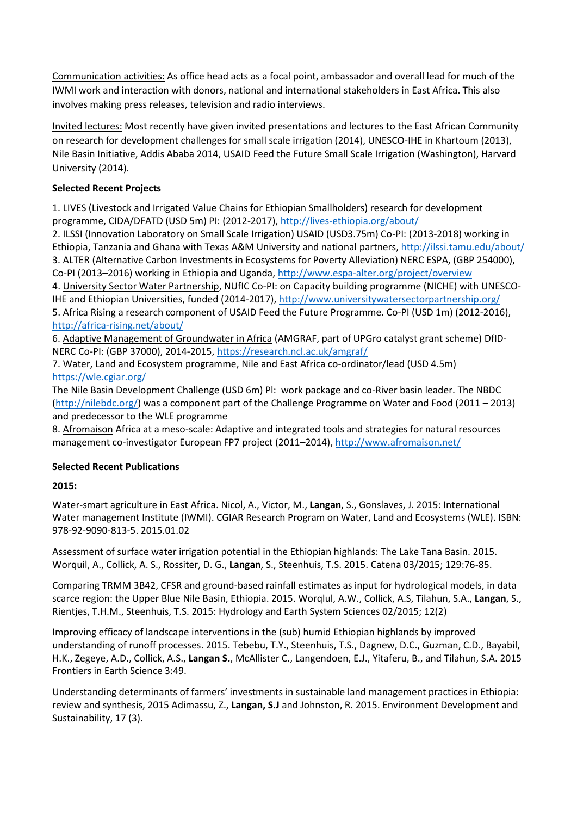Communication activities: As office head acts as a focal point, ambassador and overall lead for much of the IWMI work and interaction with donors, national and international stakeholders in East Africa. This also involves making press releases, television and radio interviews.

Invited lectures: Most recently have given invited presentations and lectures to the East African Community on research for development challenges for small scale irrigation (2014), UNESCO-IHE in Khartoum (2013), Nile Basin Initiative, Addis Ababa 2014, USAID Feed the Future Small Scale Irrigation (Washington), Harvard University (2014).

## **Selected Recent Projects**

1. LIVES (Livestock and Irrigated Value Chains for Ethiopian Smallholders) research for development programme, CIDA/DFATD (USD 5m) PI: (2012-2017), <http://lives-ethiopia.org/about/>

2. ILSSI (Innovation Laboratory on Small Scale Irrigation) USAID (USD3.75m) Co-PI: (2013-2018) working in Ethiopia, Tanzania and Ghana with Texas A&M University and national partners,<http://ilssi.tamu.edu/about/> 3. ALTER (Alternative Carbon Investments in Ecosystems for Poverty Alleviation) NERC ESPA, (GBP 254000), Co-PI (2013–2016) working in Ethiopia and Uganda, <http://www.espa-alter.org/project/overview>

4. University Sector Water Partnership, NUfIC Co-PI: on Capacity building programme (NICHE) with UNESCO-IHE and Ethiopian Universities, funded (2014-2017),<http://www.universitywatersectorpartnership.org/> 5. Africa Rising a research component of USAID Feed the Future Programme. Co-PI (USD 1m) (2012-2016), <http://africa-rising.net/about/>

6. Adaptive Management of Groundwater in Africa (AMGRAF, part of UPGro catalyst grant scheme) DfID-NERC Co-PI: (GBP 37000), 2014-2015,<https://research.ncl.ac.uk/amgraf/>

7. Water, Land and Ecosystem programme, Nile and East Africa co-ordinator/lead (USD 4.5m) <https://wle.cgiar.org/>

The Nile Basin Development Challenge (USD 6m) Pl: work package and co-River basin leader. The NBDC [\(http://nilebdc.org/\)](http://nilebdc.org/) was a component part of the Challenge Programme on Water and Food (2011 – 2013) and predecessor to the WLE programme

8. Afromaison Africa at a meso-scale: Adaptive and integrated tools and strategies for natural resources management co-investigator European FP7 project (2011–2014),<http://www.afromaison.net/>

# **Selected Recent Publications**

# **2015:**

Water-smart agriculture in East Africa. Nicol, A., Victor, M., **Langan**, S., Gonslaves, J. 2015: International Water management Institute (IWMI). CGIAR Research Program on Water, Land and Ecosystems (WLE). ISBN: 978-92-9090-813-5. 2015.01.02

Assessment of surface water irrigation potential in the Ethiopian highlands: The Lake Tana Basin. 2015. Worquil, A., Collick, A. S., Rossiter, D. G., **Langan**, S., Steenhuis, T.S. 2015. Catena 03/2015; 129:76-85.

Comparing TRMM 3B42, CFSR and ground-based rainfall estimates as input for hydrological models, in data scarce region: the Upper Blue Nile Basin, Ethiopia. 2015. Worqlul, A.W., Collick, A.S, Tilahun, S.A., **Langan**, S., Rientjes, T.H.M., Steenhuis, T.S. 2015: Hydrology and Earth System Sciences 02/2015; 12(2)

Improving efficacy of landscape interventions in the (sub) humid Ethiopian highlands by improved understanding of runoff processes. 2015. Tebebu, T.Y., Steenhuis, T.S., Dagnew, D.C., Guzman, C.D., Bayabil, H.K., Zegeye, A.D., Collick, A.S., **Langan S.**, McAllister C., Langendoen, E.J., Yitaferu, B., and Tilahun, S.A. 2015 Frontiers in Earth Science 3:49.

Understanding determinants of farmers' investments in sustainable land management practices in Ethiopia: review and synthesis, 2015 Adimassu, Z., **Langan, S.J** and Johnston, R. 2015. Environment Development and Sustainability, 17 (3).